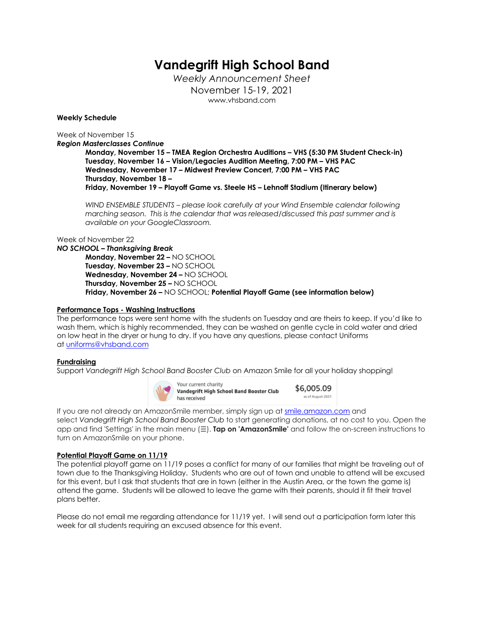# **Vandegrift High School Band**

*Weekly Announcement Sheet* November 15-19, 2021 www.vhsband.com

#### **Weekly Schedule**

Week of November 15

*Region Masterclasses Continue*

**Monday, November 15 – TMEA Region Orchestra Auditions – VHS (5:30 PM Student Check-in) Tuesday, November 16 – Vision/Legacies Audition Meeting, 7:00 PM – VHS PAC Wednesday, November 17 – Midwest Preview Concert, 7:00 PM – VHS PAC Thursday, November 18 – Friday, November 19 – Playoff Game vs. Steele HS – Lehnoff Stadium (Itinerary below)**

*WIND ENSEMBLE STUDENTS – please look carefully at your Wind Ensemble calendar following marching season. This is the calendar that was released/discussed this past summer and is available on your GoogleClassroom.*

#### Week of November 22

*NO SCHOOL – Thanksgiving Break*

**Monday, November 22 –** NO SCHOOL **Tuesday, November 23 –** NO SCHOOL **Wednesday, November 24 –** NO SCHOOL **Thursday, November 25 –** NO SCHOOL **Friday, November 26 –** NO SCHOOL; **Potential Playoff Game (see information below)**

#### **Performance Tops - Washing Instructions**

The performance tops were sent home with the students on Tuesday and are theirs to keep. If you'd like to wash them, which is highly recommended, they can be washed on gentle cycle in cold water and dried on low heat in the dryer or hung to dry. If you have any questions, please contact Uniforms at uniforms@vhsband.com

#### **Fundraising**

Support *Vandegrift High School Band Booster Club* on Amazon Smile for all your holiday shopping!



Your current charity \$6,005.09 Vandegrift High School Band Booster Club as of August 2021 has received

If you are not already an AmazonSmile member, simply sign up at smile.amazon.com and select *Vandegrift High School Band Booster Club* to start generating donations, at no cost to you. Open the app and find 'Settings' in the main menu (☰). **Tap on 'AmazonSmile'** and follow the on-screen instructions to turn on AmazonSmile on your phone.

#### **Potential Playoff Game on 11/19**

The potential playoff game on 11/19 poses a conflict for many of our families that might be traveling out of town due to the Thanksgiving Holiday. Students who are out of town and unable to attend will be excused for this event, but I ask that students that are in town (either in the Austin Area, or the town the game is) attend the game. Students will be allowed to leave the game with their parents, should it fit their travel plans better.

Please do not email me regarding attendance for 11/19 yet. I will send out a participation form later this week for all students requiring an excused absence for this event.